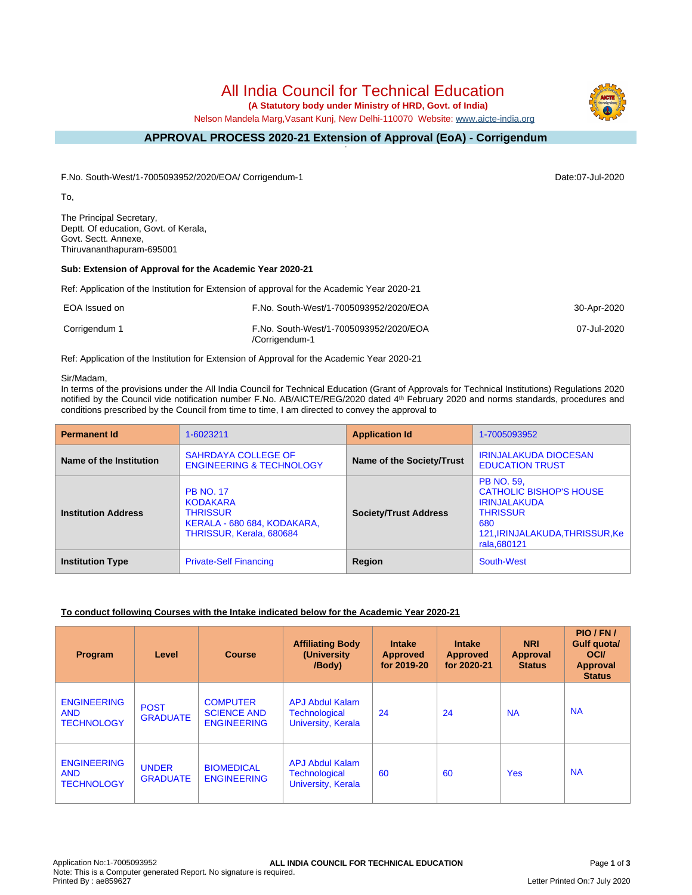All India Council for Technical Education

 **(A Statutory body under Ministry of HRD, Govt. of India)**

Nelson Mandela Marg,Vasant Kunj, New Delhi-110070 Website: [www.aicte-india.org](http://www.aicte-india.org)

#### **APPROVAL PROCESS 2020-21 Extension of Approval (EoA) - Corrigendum -**

F.No. South-West/1-7005093952/2020/EOA/ Corrigendum-1 Date:07-Jul-2020

To,

The Principal Secretary, Deptt. Of education, Govt. of Kerala, Govt. Sectt. Annexe, Thiruvananthapuram-695001

## **Sub: Extension of Approval for the Academic Year 2020-21**

Ref: Application of the Institution for Extension of approval for the Academic Year 2020-21

| EOA Issued on | F.No. South-West/1-7005093952/2020/EOA                   | 30-Apr-2020 |
|---------------|----------------------------------------------------------|-------------|
| Corrigendum 1 | F.No. South-West/1-7005093952/2020/EOA<br>/Corrigendum-1 | 07-Jul-2020 |

Ref: Application of the Institution for Extension of Approval for the Academic Year 2020-21

#### Sir/Madam,

In terms of the provisions under the All India Council for Technical Education (Grant of Approvals for Technical Institutions) Regulations 2020 notified by the Council vide notification number F.No. AB/AICTE/REG/2020 dated 4<sup>th</sup> February 2020 and norms standards, procedures and conditions prescribed by the Council from time to time, I am directed to convey the approval to

| <b>Permanent Id</b>        | 1-6023211                                                                                                         | <b>Application Id</b>        | 1-7005093952                                                                                                                                            |
|----------------------------|-------------------------------------------------------------------------------------------------------------------|------------------------------|---------------------------------------------------------------------------------------------------------------------------------------------------------|
| Name of the Institution    | <b>SAHRDAYA COLLEGE OF</b><br><b>ENGINEERING &amp; TECHNOLOGY</b>                                                 | Name of the Society/Trust    | <b>IRINJALAKUDA DIOCESAN</b><br><b>EDUCATION TRUST</b>                                                                                                  |
| <b>Institution Address</b> | <b>PB NO. 17</b><br><b>KODAKARA</b><br><b>THRISSUR</b><br>KERALA - 680 684, KODAKARA,<br>THRISSUR, Kerala, 680684 | <b>Society/Trust Address</b> | <b>PB NO. 59.</b><br><b>CATHOLIC BISHOP'S HOUSE</b><br><b>IRINJALAKUDA</b><br><b>THRISSUR</b><br>680<br>121, IRINJALAKUDA, THRISSUR, Ke<br>rala, 680121 |
| <b>Institution Type</b>    | <b>Private-Self Financing</b>                                                                                     | Region                       | South-West                                                                                                                                              |

## **To conduct following Courses with the Intake indicated below for the Academic Year 2020-21**

| Program                                               | Level                           | <b>Course</b>                                               | <b>Affiliating Body</b><br>(University)<br>/Body)                           | <b>Intake</b><br>Approved<br>for 2019-20 | <b>Intake</b><br><b>Approved</b><br>for 2020-21 | <b>NRI</b><br>Approval<br><b>Status</b> | PIO/FN/<br><b>Gulf quotal</b><br><b>OCI</b><br><b>Approval</b><br><b>Status</b> |
|-------------------------------------------------------|---------------------------------|-------------------------------------------------------------|-----------------------------------------------------------------------------|------------------------------------------|-------------------------------------------------|-----------------------------------------|---------------------------------------------------------------------------------|
| <b>ENGINEERING</b><br><b>AND</b><br><b>TECHNOLOGY</b> | <b>POST</b><br><b>GRADUATE</b>  | <b>COMPUTER</b><br><b>SCIENCE AND</b><br><b>ENGINEERING</b> | <b>APJ Abdul Kalam</b><br><b>Technological</b><br><b>University, Kerala</b> | 24                                       | 24                                              | <b>NA</b>                               | <b>NA</b>                                                                       |
| <b>ENGINEERING</b><br><b>AND</b><br><b>TECHNOLOGY</b> | <b>UNDER</b><br><b>GRADUATE</b> | <b>BIOMEDICAL</b><br><b>ENGINEERING</b>                     | <b>APJ Abdul Kalam</b><br><b>Technological</b><br>University, Kerala        | 60                                       | 60                                              | <b>Yes</b>                              | <b>NA</b>                                                                       |

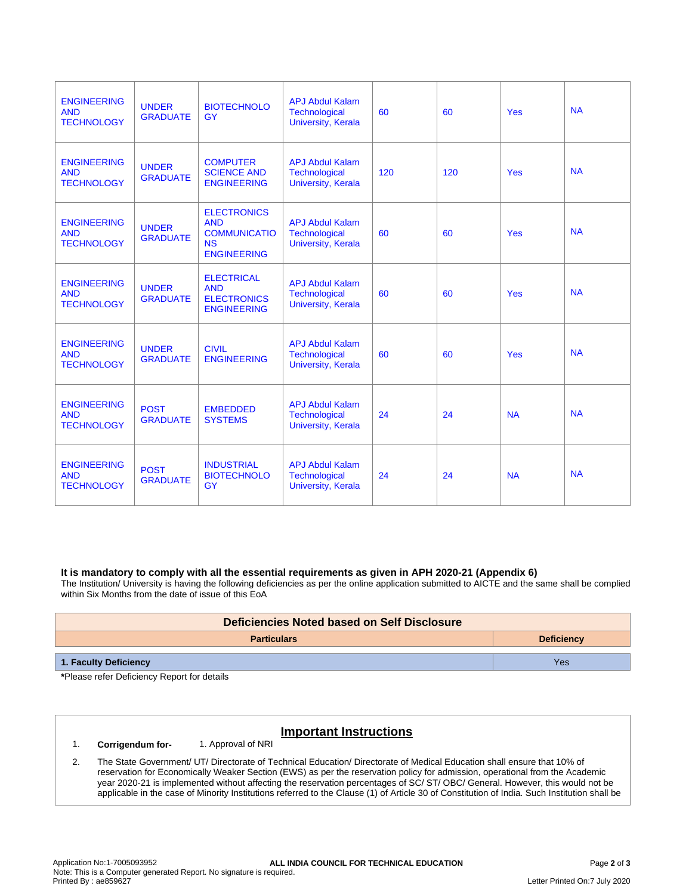| <b>ENGINEERING</b><br><b>AND</b><br><b>TECHNOLOGY</b> | <b>UNDER</b><br><b>GRADUATE</b> | <b>BIOTECHNOLO</b><br><b>GY</b>                                                            | <b>APJ Abdul Kalam</b><br><b>Technological</b><br>University, Kerala        | 60  | 60  | Yes       | <b>NA</b> |
|-------------------------------------------------------|---------------------------------|--------------------------------------------------------------------------------------------|-----------------------------------------------------------------------------|-----|-----|-----------|-----------|
| <b>ENGINEERING</b><br><b>AND</b><br><b>TECHNOLOGY</b> | <b>UNDER</b><br><b>GRADUATE</b> | <b>COMPUTER</b><br><b>SCIENCE AND</b><br><b>ENGINEERING</b>                                | <b>APJ Abdul Kalam</b><br><b>Technological</b><br><b>University, Kerala</b> | 120 | 120 | Yes       | <b>NA</b> |
| <b>ENGINEERING</b><br><b>AND</b><br><b>TECHNOLOGY</b> | <b>UNDER</b><br><b>GRADUATE</b> | <b>ELECTRONICS</b><br><b>AND</b><br><b>COMMUNICATIO</b><br><b>NS</b><br><b>ENGINEERING</b> | <b>APJ Abdul Kalam</b><br>Technological<br><b>University, Kerala</b>        | 60  | 60  | Yes       | <b>NA</b> |
| <b>ENGINEERING</b><br><b>AND</b><br><b>TECHNOLOGY</b> | <b>UNDER</b><br><b>GRADUATE</b> | <b>ELECTRICAL</b><br><b>AND</b><br><b>ELECTRONICS</b><br><b>ENGINEERING</b>                | <b>APJ Abdul Kalam</b><br><b>Technological</b><br>University, Kerala        | 60  | 60  | Yes       | <b>NA</b> |
| <b>ENGINEERING</b><br><b>AND</b><br><b>TECHNOLOGY</b> | <b>UNDER</b><br><b>GRADUATE</b> | <b>CIVIL</b><br><b>ENGINEERING</b>                                                         | <b>APJ Abdul Kalam</b><br><b>Technological</b><br>University, Kerala        | 60  | 60  | Yes       | <b>NA</b> |
| <b>ENGINEERING</b><br><b>AND</b><br><b>TECHNOLOGY</b> | <b>POST</b><br><b>GRADUATE</b>  | <b>EMBEDDED</b><br><b>SYSTEMS</b>                                                          | <b>APJ Abdul Kalam</b><br><b>Technological</b><br>University, Kerala        | 24  | 24  | <b>NA</b> | <b>NA</b> |
| <b>ENGINEERING</b><br><b>AND</b><br><b>TECHNOLOGY</b> | <b>POST</b><br><b>GRADUATE</b>  | <b>INDUSTRIAL</b><br><b>BIOTECHNOLO</b><br>GY                                              | <b>APJ Abdul Kalam</b><br><b>Technological</b><br>University, Kerala        | 24  | 24  | <b>NA</b> | <b>NA</b> |

## **It is mandatory to comply with all the essential requirements as given in APH 2020-21 (Appendix 6)**

The Institution/ University is having the following deficiencies as per the online application submitted to AICTE and the same shall be complied within Six Months from the date of issue of this EoA

| Deficiencies Noted based on Self Disclosure |                   |  |  |
|---------------------------------------------|-------------------|--|--|
| <b>Particulars</b>                          | <b>Deficiency</b> |  |  |
| 1. Faculty Deficiency                       | Yes               |  |  |

**\***Please refer Deficiency Report for details

# **Important Instructions**

#### 1. **Corrigendum for-** 1. Approval of NRI

2. The State Government/ UT/ Directorate of Technical Education/ Directorate of Medical Education shall ensure that 10% of reservation for Economically Weaker Section (EWS) as per the reservation policy for admission, operational from the Academic year 2020-21 is implemented without affecting the reservation percentages of SC/ ST/ OBC/ General. However, this would not be applicable in the case of Minority Institutions referred to the Clause (1) of Article 30 of Constitution of India. Such Institution shall be